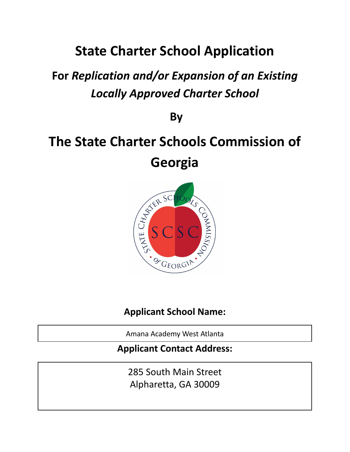# **State Charter School Application**

# **For** *Replication and/or Expansion of an Existing Locally Approved Charter School*

**By**

# **The State Charter Schools Commission of Georgia**



**Applicant School Name:**

Amana Academy West Atlanta

## **Applicant Contact Address:**

285 South Main Street Alpharetta, GA 30009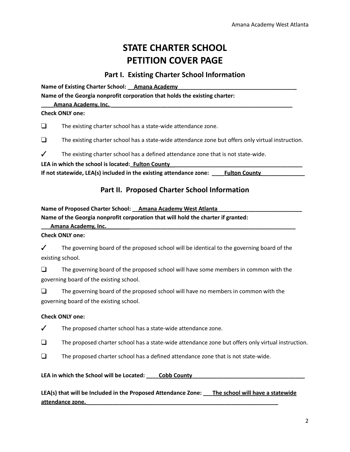# **STATE CHARTER SCHOOL PETITION COVER PAGE**

#### **Part I. Existing Charter School Information**

**Name of Existing Charter School: Amana Academy Name of the Georgia nonprofit corporation that holds the existing charter:**

**Amana Academy, Inc.** *p* 

**Check ONLY one:**

❑ The existing charter school has a state-wide attendance zone.

❑ The existing charter school has a state-wide attendance zone but offers only virtual instruction.

 $\checkmark$  The existing charter school has a defined attendance zone that is not state-wide.

**LEA in which the school is located:\_Fulton County \_\_\_\_\_\_\_\_\_\_\_\_\_\_\_\_\_\_\_\_\_\_\_\_\_\_\_\_\_\_\_\_\_\_\_\_\_\_\_\_\_**

**If not statewide, LEA(s) included in the existing attendance zone: \_\_\_\_Fulton County\_\_\_\_\_\_\_\_\_\_\_\_\_\_**

### **Part II. Proposed Charter School Information**

**Name of Proposed Charter School: \_\_Amana Academy West Atlanta\_\_\_\_\_\_\_\_\_\_\_\_\_\_\_\_\_\_\_\_\_\_\_\_\_\_\_**

**Name of the Georgia nonprofit corporation that will hold the charter if granted:**

**\_\_\_Amana Academy, Inc. \_\_\_\_\_\_\_\_\_\_\_\_\_\_\_\_\_\_\_\_\_\_\_\_\_\_\_\_\_\_\_\_\_\_\_\_\_\_\_\_\_\_\_\_\_\_\_\_\_\_\_\_\_\_\_\_\_\_\_\_**

**Check ONLY one:**

 $\checkmark$  The governing board of the proposed school will be identical to the governing board of the existing school.

❑ The governing board of the proposed school will have some members in common with the governing board of the existing school.

❑ The governing board of the proposed school will have no members in common with the governing board of the existing school.

#### **Check ONLY one:**

 $\checkmark$  The proposed charter school has a state-wide attendance zone.

❑ The proposed charter school has a state-wide attendance zone but offers only virtual instruction.

 $\Box$  The proposed charter school has a defined attendance zone that is not state-wide.

**LEA in which the School will be Located: \_\_\_\_Cobb County\_\_\_\_\_\_\_\_\_\_\_\_\_\_\_\_\_\_\_\_\_\_\_\_\_\_\_\_\_\_\_\_\_\_\_\_**

**LEA(s) that will be Included in the Proposed Attendance Zone: \_\_\_The school will have a statewide attendance zone. \_\_\_\_\_\_\_\_\_\_\_\_\_\_\_\_\_\_\_\_\_\_\_\_\_\_\_\_\_\_\_\_\_\_\_\_\_\_\_\_\_\_\_\_\_\_\_\_\_\_\_\_\_\_\_\_\_\_\_\_\_**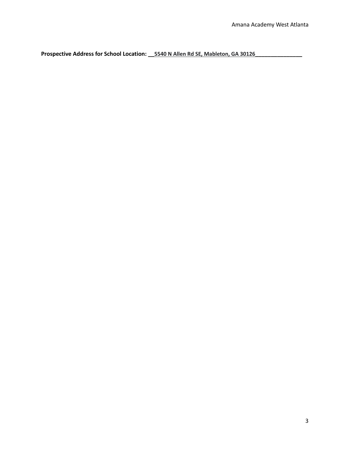**Prospective Address for School Location: \_\_5540 N Allen Rd SE, Mableton, GA 30126\_\_\_\_\_\_\_\_\_\_\_\_\_\_\_**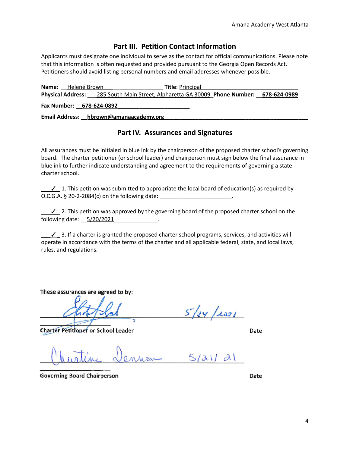#### **Part III. Petition Contact Information**

Applicants must designate one individual to serve as the contact for official communications. Please note that this information is often requested and provided pursuant to the Georgia Open Records Act. Petitioners should avoid listing personal numbers and email addresses whenever possible.

**Name**: Helené Brown **Title**: Principal **Physical Address:** \_\_\_285 South Main Street, Alpharetta GA 30009\_**Phone Number: \_\_678-624-0989 Fax Number: \_\_678-624-0892\_\_\_\_\_\_\_\_\_\_\_\_\_\_\_\_\_\_\_\_\_\_\_**

**Email Address: \_\_ hbrown@amanaacademy.org** 

#### **Part IV. Assurances and Signatures**

All assurances must be initialed in blue ink by the chairperson of the proposed charter school's governing board. The charter petitioner (or school leader) and chairperson must sign below the final assurance in blue ink to further indicate understanding and agreement to the requirements of governing a state charter school.

 $\checkmark$  1. This petition was submitted to appropriate the local board of education(s) as required by O.C.G.A. § 20-2-2084(c) on the following date: \_\_\_\_\_\_\_\_\_\_\_\_\_\_\_\_\_\_\_\_\_\_\_.

\_\_\_✓\_ 2. This petition was approved by the governing board of the proposed charter school on the following date:  $5/20/2021$ .

 $\bigcup$  3. If a charter is granted the proposed charter school programs, services, and activities will operate in accordance with the terms of the charter and all applicable federal, state, and local laws, rules, and regulations.

These assurances are agreed to by:

**Charter Petitioner or School Leader** 

 $5/24/2021$ 

Date

 $5/au/21$ Mon

**Governing Board Chairperson** 

Date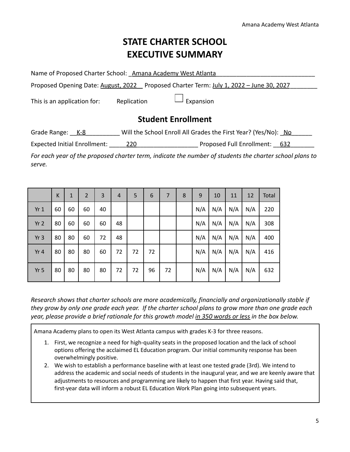# **STATE CHARTER SCHOOL EXECUTIVE SUMMARY**

Name of Proposed Charter School: \_Amana Academy West Atlanta

Proposed Opening Date: August, 2022 Proposed Charter Term: July 1, 2022 – June 30, 2027\_\_\_\_\_\_\_\_

This is an application for: Replication  $\Box$  Expansion

### **Student Enrollment**

Grade Range:  $K-8$  Will the School Enroll All Grades the First Year? (Yes/No): No

Expected Initial Enrollment: \_\_\_\_\_220\_\_\_\_\_\_\_\_\_\_\_\_\_\_\_\_\_\_ Proposed Full Enrollment: \_\_632\_\_\_\_\_\_\_

*For each year of the proposed charter term, indicate the number of students the charter school plans to serve.*

|                 | К  | $\mathbf{1}$ | $\overline{2}$ | 3  | $\overline{4}$ | 5  | 6  | 7  | 8 | 9   | 10  | 11  | 12  | Total |
|-----------------|----|--------------|----------------|----|----------------|----|----|----|---|-----|-----|-----|-----|-------|
| Yr1             | 60 | 60           | 60             | 40 |                |    |    |    |   | N/A | N/A | N/A | N/A | 220   |
| Yr <sub>2</sub> | 80 | 60           | 60             | 60 | 48             |    |    |    |   | N/A | N/A | N/A | N/A | 308   |
| Yr <sub>3</sub> | 80 | 80           | 60             | 72 | 48             |    |    |    |   | N/A | N/A | N/A | N/A | 400   |
| Yr 4            | 80 | 80           | 80             | 60 | 72             | 72 | 72 |    |   | N/A | N/A | N/A | N/A | 416   |
| Yr <sub>5</sub> | 80 | 80           | 80             | 80 | 72             | 72 | 96 | 72 |   | N/A | N/A | N/A | N/A | 632   |

*Research shows that charter schools are more academically, financially and organizationally stable if they grow by only one grade each year. If the charter school plans to grow more than one grade each year, please provide a brief rationale for this growth model in 350 words or less in the box below.*

Amana Academy plans to open its West Atlanta campus with grades K-3 for three reasons.

- 1. First, we recognize a need for high-quality seats in the proposed location and the lack of school options offering the acclaimed EL Education program. Our initial community response has been overwhelmingly positive.
- 2. We wish to establish a performance baseline with at least one tested grade (3rd). We intend to address the academic and social needs of students in the inaugural year, and we are keenly aware that adjustments to resources and programming are likely to happen that first year. Having said that, first-year data will inform a robust EL Education Work Plan going into subsequent years.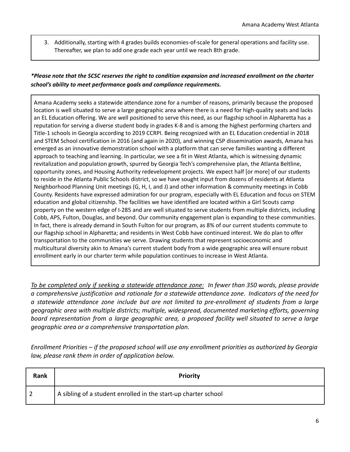3. Additionally, starting with 4 grades builds economies-of-scale for general operations and facility use. Thereafter, we plan to add one grade each year until we reach 8th grade.

#### \*Please note that the SCSC reserves the right to condition expansion and increased enrollment on the charter *school's ability to meet performance goals and compliance requirements.*

Amana Academy seeks a statewide attendance zone for a number of reasons, primarily because the proposed location is well situated to serve a large geographic area where there is a need for high-quality seats and lacks an EL Education offering. We are well positioned to serve this need, as our flagship school in Alpharetta has a reputation for serving a diverse student body in grades K-8 and is among the highest performing charters and Title-1 schools in Georgia according to 2019 CCRPI. Being recognized with an EL Education credential in 2018 and STEM School certification in 2016 (and again in 2020), and winning CSP dissemination awards, Amana has emerged as an innovative demonstration school with a platform that can serve families wanting a different approach to teaching and learning. In particular, we see a fit in West Atlanta, which is witnessing dynamic revitalization and population growth, spurred by Georgia Tech's comprehensive plan, the Atlanta Beltline, opportunity zones, and Housing Authority redevelopment projects. We expect half [or more] of our students to reside in the Atlanta Public Schools district, so we have sought input from dozens of residents at Atlanta Neighborhood Planning Unit meetings (G, H, I, and J) and other information & community meetings in Cobb County. Residents have expressed admiration for our program, especially with EL Education and focus on STEM education and global citizenship. The facilities we have identified are located within a Girl Scouts camp property on the western edge of I-285 and are well situated to serve students from multiple districts, including Cobb, APS, Fulton, Douglas, and beyond. Our community engagement plan is expanding to these communities. In fact, there is already demand in South Fulton for our program, as 8% of our current students commute to our flagship school in Alpharetta; and residents in West Cobb have continued interest. We do plan to offer transportation to the communities we serve. Drawing students that represent socioeconomic and multicultural diversity akin to Amana's current student body from a wide geographic area will ensure robust enrollment early in our charter term while population continues to increase in West Atlanta.

*To be completed only if seeking a statewide attendance zone: In fewer than 350 words, please provide a comprehensive justification and rationale for a statewide attendance zone. Indicators of the need for a statewide attendance zone include but are not limited to pre-enrollment of students from a large geographic area with multiple districts; multiple, widespread, documented marketing efforts, governing board representation from a large geographic area, a proposed facility well situated to serve a large geographic area or a comprehensive transportation plan.*

*Enrollment Priorities – if the proposed school will use any enrollment priorities as authorized by Georgia law, please rank them in order of application below.*

| Rank | <b>Priority</b>                                                |
|------|----------------------------------------------------------------|
|      | A sibling of a student enrolled in the start-up charter school |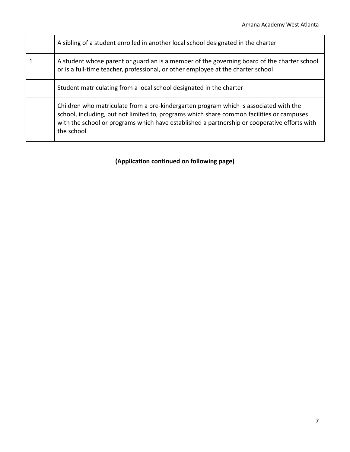| A sibling of a student enrolled in another local school designated in the charter                                                                                                                                                                                                                |
|--------------------------------------------------------------------------------------------------------------------------------------------------------------------------------------------------------------------------------------------------------------------------------------------------|
| A student whose parent or guardian is a member of the governing board of the charter school<br>or is a full-time teacher, professional, or other employee at the charter school                                                                                                                  |
| Student matriculating from a local school designated in the charter                                                                                                                                                                                                                              |
| Children who matriculate from a pre-kindergarten program which is associated with the<br>school, including, but not limited to, programs which share common facilities or campuses<br>with the school or programs which have established a partnership or cooperative efforts with<br>the school |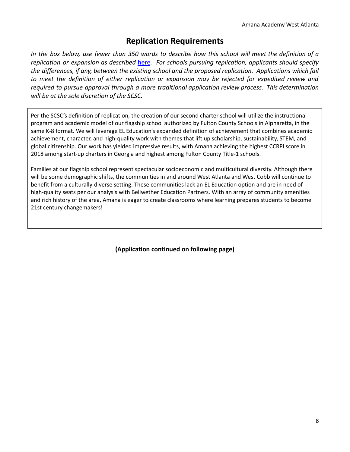## **Replication Requirements**

In the box below, use fewer than 350 words to describe how this school will meet the definition of a *replication or expansion as described* [here](https://scsc.georgia.gov/sites/scsc.georgia.gov/files/related_files/document/REPLICATION%20AND%20EXPANSION%20DOC.June2018.pdf)*. For schools pursuing replication, applicants should specify the differences, if any, between the existing school and the proposed replication. Applications which fail to meet the definition of either replication or expansion may be rejected for expedited review and required to pursue approval through a more traditional application review process. This determination will be at the sole discretion of the SCSC.*

Per the SCSC's definition of replication, the creation of our second charter school will utilize the instructional program and academic model of our flagship school authorized by Fulton County Schools in Alpharetta, in the same K-8 format. We will leverage EL Education's expanded definition of achievement that combines academic achievement, character, and high-quality work with themes that lift up scholarship, sustainability, STEM, and global citizenship. Our work has yielded impressive results, with Amana achieving the highest CCRPI score in 2018 among start-up charters in Georgia and highest among Fulton County Title-1 schools.

Families at our flagship school represent spectacular socioeconomic and multicultural diversity. Although there will be some demographic shifts, the communities in and around West Atlanta and West Cobb will continue to benefit from a culturally-diverse setting. These communities lack an EL Education option and are in need of high-quality seats per our analysis with Bellwether Education Partners. With an array of community amenities and rich history of the area, Amana is eager to create classrooms where learning prepares students to become 21st century changemakers!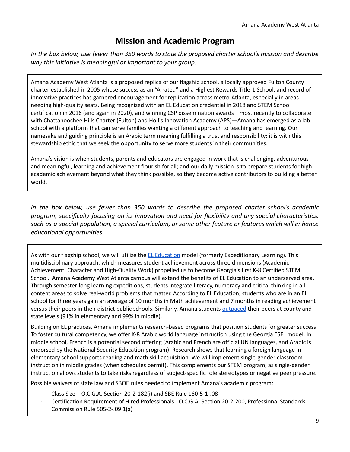## **Mission and Academic Program**

In the box below, use fewer than 350 words to state the proposed charter school's mission and describe *why this initiative is meaningful or important to your group.*

Amana Academy West Atlanta is a proposed replica of our flagship school, a locally approved Fulton County charter established in 2005 whose success as an "A-rated" and a Highest Rewards Title-1 School, and record of innovative practices has garnered encouragement for replication across metro-Atlanta, especially in areas needing high-quality seats. Being recognized with an EL Education credential in 2018 and STEM School certification in 2016 (and again in 2020), and winning CSP dissemination awards—most recently to collaborate with Chattahoochee Hills Charter (Fulton) and Hollis Innovation Academy (APS)—Amana has emerged as a lab school with a platform that can serve families wanting a different approach to teaching and learning. Our namesake and guiding principle is an Arabic term meaning fulfilling a trust and responsibility; it is with this stewardship ethic that we seek the opportunity to serve more students in their communities.

Amana's vision is when students, parents and educators are engaged in work that is challenging, adventurous and meaningful, learning and achievement flourish for all; and our daily mission is to prepare students for high academic achievement beyond what they think possible, so they become active contributors to building a better world.

*In the box below, use fewer than 350 words to describe the proposed charter school's academic program, specifically focusing on its innovation and need for flexibility and any special characteristics, such as a special population, a special curriculum, or some other feature or features which will enhance educational opportunities.*

As with our flagship school, we will utilize the EL [Education](https://eleducation.org/) model (formerly Expeditionary Learning). This multidisciplinary approach, which measures student achievement across three dimensions (Academic Achievement, Character and High-Quality Work) propelled us to become Georgia's first K-8 Certified STEM School. Amana Academy West Atlanta campus will extend the benefits of EL Education to an underserved area. Through semester-long learning expeditions, students integrate literacy, numeracy and critical thinking in all content areas to solve real-world problems that matter. According to EL Education, students who are in an EL school for three years gain an average of 10 months in Math achievement and 7 months in reading achievement versus their peers in their district public schools. Similarly, Amana students [outpaced](https://schoolgrades.georgia.gov/amana-academy) their peers at county and state levels (91% in elementary and 99% in middle).

Building on EL practices, Amana implements research-based programs that position students for greater success. To foster cultural competency, we offer K-8 Arabic world language instruction using the Georgia ESFL model. In middle school, French is a potential second offering (Arabic and French are official UN languages, and Arabic is endorsed by the National Security Education program). Research shows that learning a foreign language in elementary school supports reading and math skill acquisition. We will implement single-gender classroom instruction in middle grades (when schedules permit). This complements our STEM program, as single-gender instruction allows students to take risks regardless of subject-specific role stereotypes or negative peer pressure.

Possible waivers of state law and SBOE rules needed to implement Amana's academic program:

- ∙ Class Size O.C.G.A. Section 20-2-182(i) and SBE Rule 160-5-1-.08
- ∙ Certification Requirement of Hired Professionals O.C.G.A. Section 20-2-200, Professional Standards Commission Rule 505-2-.09 1(a)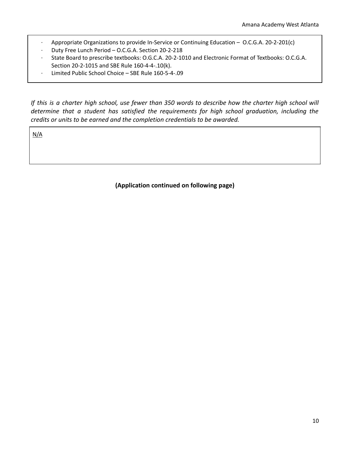- ∙ Appropriate Organizations to provide In-Service or Continuing Education O.C.G.A. 20-2-201(c)
- ∙ Duty Free Lunch Period O.C.G.A. Section 20-2-218
- ∙ State Board to prescribe textbooks: O.G.C.A. 20-2-1010 and Electronic Format of Textbooks: O.C.G.A. Section 20-2-1015 and SBE Rule 160-4-4-.10(k).
- ∙ Limited Public School Choice SBE Rule 160-5-4-.09

If this is a charter high school, use fewer than 350 words to describe how the charter high school will *determine that a student has satisfied the requirements for high school graduation, including the credits or units to be earned and the completion credentials to be awarded.*

N/A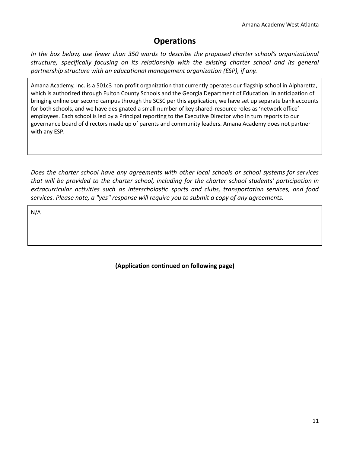## **Operations**

*In the box below, use fewer than 350 words to describe the proposed charter school's organizational structure, specifically focusing on its relationship with the existing charter school and its general partnership structure with an educational management organization (ESP), if any.*

Amana Academy, Inc. is a 501c3 non profit organization that currently operates our flagship school in Alpharetta, which is authorized through Fulton County Schools and the Georgia Department of Education. In anticipation of bringing online our second campus through the SCSC per this application, we have set up separate bank accounts for both schools, and we have designated a small number of key shared-resource roles as 'network office' employees. Each school is led by a Principal reporting to the Executive Director who in turn reports to our governance board of directors made up of parents and community leaders. Amana Academy does not partner with any ESP.

*Does the charter school have any agreements with other local schools or school systems for services that will be provided to the charter school, including for the charter school students' participation in extracurricular activities such as interscholastic sports and clubs, transportation services, and food services. Please note, a "yes" response will require you to submit a copy of any agreements.*

N/A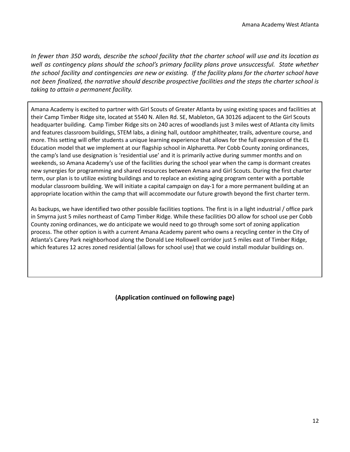In fewer than 350 words, describe the school facility that the charter school will use and its location as *well as contingency plans should the school's primary facility plans prove unsuccessful. State whether* the school facility and contingencies are new or existing. If the facility plans for the charter school have *not been finalized, the narrative should describe prospective facilities and the steps the charter school is taking to attain a permanent facility.*

Amana Academy is excited to partner with Girl Scouts of Greater Atlanta by using existing spaces and facilities at their Camp Timber Ridge site, located at 5540 N. Allen Rd. SE, Mableton, GA 30126 adjacent to the Girl Scouts headquarter building. Camp Timber Ridge sits on 240 acres of woodlands just 3 miles west of Atlanta city limits and features classroom buildings, STEM labs, a dining hall, outdoor amphitheater, trails, adventure course, and more. This setting will offer students a unique learning experience that allows for the full expression of the EL Education model that we implement at our flagship school in Alpharetta. Per Cobb County zoning ordinances, the camp's land use designation is 'residential use' and it is primarily active during summer months and on weekends, so Amana Academy's use of the facilities during the school year when the camp is dormant creates new synergies for programming and shared resources between Amana and Girl Scouts. During the first charter term, our plan is to utilize existing buildings and to replace an existing aging program center with a portable modular classroom building. We will initiate a capital campaign on day-1 for a more permanent building at an appropriate location within the camp that will accommodate our future growth beyond the first charter term.

As backups, we have identified two other possible facilities toptions. The first is in a light industrial / office park in Smyrna just 5 miles northeast of Camp Timber Ridge. While these facilities DO allow for school use per Cobb County zoning ordinances, we do anticipate we would need to go through some sort of zoning application process. The other option is with a current Amana Academy parent who owns a recycling center in the City of Atlanta's Carey Park neighborhood along the Donald Lee Hollowell corridor just 5 miles east of Timber Ridge, which features 12 acres zoned residential (allows for school use) that we could install modular buildings on.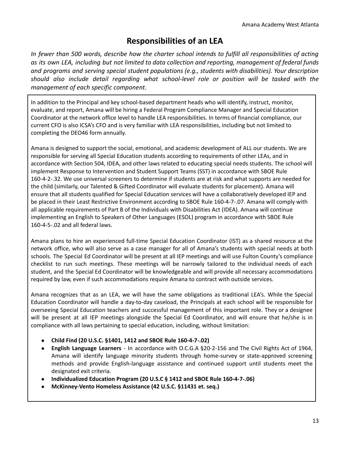## **Responsibilities of an LEA**

In fewer than 500 words, describe how the charter school intends to fulfill all responsibilities of acting *as its own LEA, including but not limited to data collection and reporting, management of federal funds and programs and serving special student populations (e.g., students with disabilities). Your description should also include detail regarding what school-level role or position will be tasked with the management of each specific component.*

In addition to the Principal and key school-based department heads who will identify, instruct, monitor, evaluate, and report, Amana will be hiring a Federal Program Compliance Manager and Special Education Coordinator at the network office level to handle LEA responsibilities. In terms of financial compliance, our current CFO is also ICSA's CFO and is very familiar with LEA responsibilities, including but not limited to completing the DEO46 form annually.

Amana is designed to support the social, emotional, and academic development of ALL our students. We are responsible for serving all Special Education students according to requirements of other LEAs, and in accordance with Section 504, IDEA, and other laws related to educating special needs students. The school will implement Response to Intervention and Student Support Teams (SST) in accordance with SBOE Rule 160-4-2-.32. We use universal screeners to determine if students are at risk and what supports are needed for the child (similarly, our Talented & Gifted Coordinator will evaluate students for placement). Amana will ensure that all students qualified for Special Education services will have a collaboratively developed IEP and be placed in their Least Restrictive Environment according to SBOE Rule 160-4-7-.07. Amana will comply with all applicable requirements of Part B of the Individuals with Disabilities Act (IDEA). Amana will continue implementing an English to Speakers of Other Languages (ESOL) program in accordance with SBOE Rule 160-4-5-.02 and all federal laws.

Amana plans to hire an experienced full-time Special Education Coordinator (IST) as a shared resource at the network office, who will also serve as a case manager for all of Amana's students with special needs at both schools. The Special Ed Coordinator will be present at all IEP meetings and will use Fulton County's compliance checklist to run such meetings. These meetings will be narrowly tailored to the individual needs of each student, and the Special Ed Coordinator will be knowledgeable and will provide all necessary accommodations required by law, even if such accommodations require Amana to contract with outside services.

Amana recognizes that as an LEA, we will have the same obligations as traditional LEA's. While the Special Education Coordinator will handle a day-to-day caseload, the Principals at each school will be responsible for overseeing Special Education teachers and successful management of this important role. They or a designee will be present at all IEP meetings alongside the Special Ed Coordinator, and will ensure that he/she is in compliance with all laws pertaining to special education, including, without limitation:

- **Child Find (20 U.S.C. §1401, 1412 and SBOE Rule 160-4-7-.02)**
- **English Language Learners** In accordance with O.C.G.A §20-2-156 and The Civil Rights Act of 1964, Amana will identify language minority students through home-survey or state-approved screening methods and provide English-language assistance and continued support until students meet the designated exit criteria.
- **Individualized Education Program (20 U.S.C § 1412 and SBOE Rule 160-4-7-.06)**
- **McKinney-Vento Homeless Assistance (42 U.S.C. §11431 et. seq.)**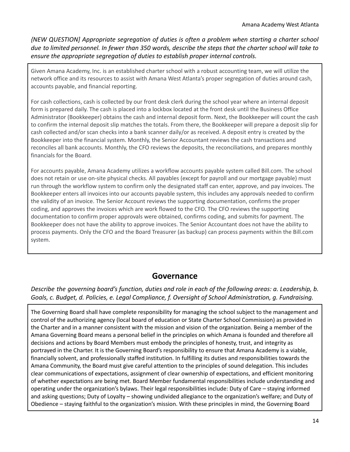*{NEW QUESTION] Appropriate segregation of duties is often a problem when starting a charter school* due to limited personnel. In fewer than 350 words, describe the steps that the charter school will take to *ensure the appropriate segregation of duties to establish proper internal controls.*

Given Amana Academy, Inc. is an established charter school with a robust accounting team, we will utilize the network office and its resources to assist with Amana West Atlanta's proper segregation of duties around cash, accounts payable, and financial reporting.

For cash collections, cash is collected by our front desk clerk during the school year where an internal deposit form is prepared daily. The cash is placed into a lockbox located at the front desk until the Business Office Administrator (Bookkeeper) obtains the cash and internal deposit form. Next, the Bookkeeper will count the cash to confirm the internal deposit slip matches the totals. From there, the Bookkeeper will prepare a deposit slip for cash collected and/or scan checks into a bank scanner daily/or as received. A deposit entry is created by the Bookkeeper into the financial system. Monthly, the Senior Accountant reviews the cash transactions and reconciles all bank accounts. Monthly, the CFO reviews the deposits, the reconciliations, and prepares monthly financials for the Board.

For accounts payable, Amana Academy utilizes a workflow accounts payable system called Bill.com. The school does not retain or use on-site physical checks. All payables (except for payroll and our mortgage payable) must run through the workflow system to confirm only the designated staff can enter, approve, and pay invoices. The Bookkeeper enters all invoices into our accounts payable system, this includes any approvals needed to confirm the validity of an invoice. The Senior Account reviews the supporting documentation, confirms the proper coding, and approves the invoices which are work flowed to the CFO. The CFO reviews the supporting documentation to confirm proper approvals were obtained, confirms coding, and submits for payment. The Bookkeeper does not have the ability to approve invoices. The Senior Accountant does not have the ability to process payments. Only the CFO and the Board Treasurer (as backup) can process payments within the Bill.com system.

#### **Governance**

Describe the governing board's function, duties and role in each of the following areas: a. Leadership, b. *Goals, c. Budget, d. Policies, e. Legal Compliance, f. Oversight of School Administration, g. Fundraising.*

The Governing Board shall have complete responsibility for managing the school subject to the management and control of the authorizing agency (local board of education or State Charter School Commission) as provided in the Charter and in a manner consistent with the mission and vision of the organization. Being a member of the Amana Governing Board means a personal belief in the principles on which Amana is founded and therefore all decisions and actions by Board Members must embody the principles of honesty, trust, and integrity as portrayed in the Charter. It is the Governing Board's responsibility to ensure that Amana Academy is a viable, financially solvent, and professionally staffed institution. In fulfilling its duties and responsibilities towards the Amana Community, the Board must give careful attention to the principles of sound delegation. This includes clear communications of expectations, assignment of clear ownership of expectations, and efficient monitoring of whether expectations are being met. Board Member fundamental responsibilities include understanding and operating under the organization's bylaws. Their legal responsibilities include: Duty of Care – staying informed and asking questions; Duty of Loyalty – showing undivided allegiance to the organization's welfare; and Duty of Obedience – staying faithful to the organization's mission. With these principles in mind, the Governing Board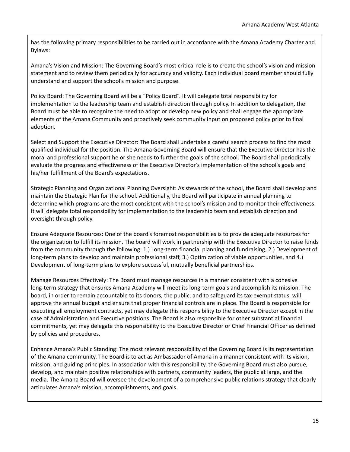has the following primary responsibilities to be carried out in accordance with the Amana Academy Charter and Bylaws:

Amana's Vision and Mission: The Governing Board's most critical role is to create the school's vision and mission statement and to review them periodically for accuracy and validity. Each individual board member should fully understand and support the school's mission and purpose.

Policy Board: The Governing Board will be a "Policy Board". It will delegate total responsibility for implementation to the leadership team and establish direction through policy. In addition to delegation, the Board must be able to recognize the need to adopt or develop new policy and shall engage the appropriate elements of the Amana Community and proactively seek community input on proposed policy prior to final adoption.

Select and Support the Executive Director: The Board shall undertake a careful search process to find the most qualified individual for the position. The Amana Governing Board will ensure that the Executive Director has the moral and professional support he or she needs to further the goals of the school. The Board shall periodically evaluate the progress and effectiveness of the Executive Director's implementation of the school's goals and his/her fulfillment of the Board's expectations.

Strategic Planning and Organizational Planning Oversight: As stewards of the school, the Board shall develop and maintain the Strategic Plan for the school. Additionally, the Board will participate in annual planning to determine which programs are the most consistent with the school's mission and to monitor their effectiveness. It will delegate total responsibility for implementation to the leadership team and establish direction and oversight through policy.

Ensure Adequate Resources: One of the board's foremost responsibilities is to provide adequate resources for the organization to fulfill its mission. The board will work in partnership with the Executive Director to raise funds from the community through the following: 1.) Long-term financial planning and fundraising, 2.) Development of long-term plans to develop and maintain professional staff, 3.) Optimization of viable opportunities, and 4.) Development of long-term plans to explore successful, mutually beneficial partnerships.

Manage Resources Effectively: The Board must manage resources in a manner consistent with a cohesive long-term strategy that ensures Amana Academy will meet its long-term goals and accomplish its mission. The board, in order to remain accountable to its donors, the public, and to safeguard its tax-exempt status, will approve the annual budget and ensure that proper financial controls are in place. The Board is responsible for executing all employment contracts, yet may delegate this responsibility to the Executive Director except in the case of Administration and Executive positions. The Board is also responsible for other substantial financial commitments, yet may delegate this responsibility to the Executive Director or Chief Financial Officer as defined by policies and procedures.

Enhance Amana's Public Standing: The most relevant responsibility of the Governing Board is its representation of the Amana community. The Board is to act as Ambassador of Amana in a manner consistent with its vision, mission, and guiding principles. In association with this responsibility, the Governing Board must also pursue, develop, and maintain positive relationships with partners, community leaders, the public at large, and the media. The Amana Board will oversee the development of a comprehensive public relations strategy that clearly articulates Amana's mission, accomplishments, and goals.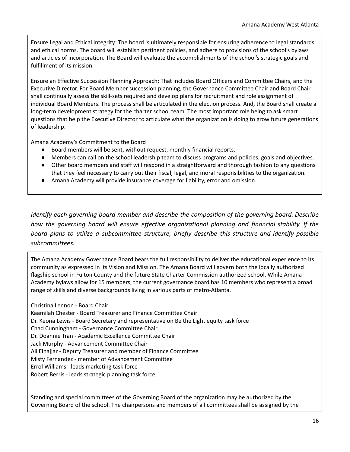Ensure Legal and Ethical Integrity: The board is ultimately responsible for ensuring adherence to legal standards and ethical norms. The board will establish pertinent policies, and adhere to provisions of the school's bylaws and articles of incorporation. The Board will evaluate the accomplishments of the school's strategic goals and fulfillment of its mission.

Ensure an Effective Succession Planning Approach: That includes Board Officers and Committee Chairs, and the Executive Director. For Board Member succession planning, the Governance Committee Chair and Board Chair shall continually assess the skill-sets required and develop plans for recruitment and role assignment of individual Board Members. The process shall be articulated in the election process. And, the Board shall create a long-term development strategy for the charter school team. The most important role being to ask smart questions that help the Executive Director to articulate what the organization is doing to grow future generations of leadership.

Amana Academy's Commitment to the Board

- Board members will be sent, without request, monthly financial reports.
- Members can call on the school leadership team to discuss programs and policies, goals and objectives.
- Other board members and staff will respond in a straightforward and thorough fashion to any questions that they feel necessary to carry out their fiscal, legal, and moral responsibilities to the organization.
- Amana Academy will provide insurance coverage for liability, error and omission.

*Identify each governing board member and describe the composition of the governing board. Describe how the governing board will ensure effective organizational planning and financial stability. If the board plans to utilize a subcommittee structure, briefly describe this structure and identify possible subcommittees.*

The Amana Academy Governance Board bears the full responsibility to deliver the educational experience to its community as expressed in its Vision and Mission. The Amana Board will govern both the locally authorized flagship school in Fulton County and the future State Charter Commission authorized school. While Amana Academy bylaws allow for 15 members, the current governance board has 10 members who represent a broad range of skills and diverse backgrounds living in various parts of metro-Atlanta.

Christina Lennon - Board Chair Kaamilah Chester - Board Treasurer and Finance Committee Chair Dr. Keona Lewis - Board Secretary and representative on Be the Light equity task force Chad Cunningham - Governance Committee Chair Dr. Doannie Tran - Academic Excellence Committee Chair Jack Murphy - Advancement Committee Chair Ali Elnajjar - Deputy Treasurer and member of Finance Committee Misty Fernandez - member of Advancement Committee Errol Williams - leads marketing task force Robert Berris - leads strategic planning task force

Standing and special committees of the Governing Board of the organization may be authorized by the Governing Board of the school. The chairpersons and members of all committees shall be assigned by the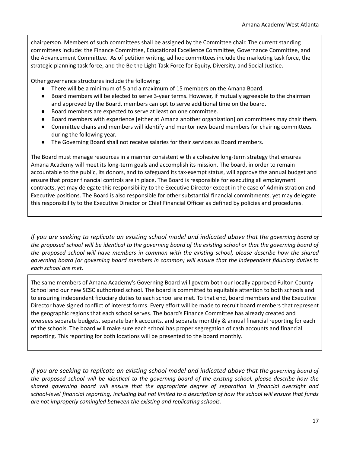chairperson. Members of such committees shall be assigned by the Committee chair. The current standing committees include: the Finance Committee, Educational Excellence Committee, Governance Committee, and the Advancement Committee. As of petition writing, ad hoc committees include the marketing task force, the strategic planning task force, and the Be the Light Task Force for Equity, Diversity, and Social Justice.

Other governance structures include the following:

- There will be a minimum of 5 and a maximum of 15 members on the Amana Board.
- Board members will be elected to serve 3-year terms. However, if mutually agreeable to the chairman and approved by the Board, members can opt to serve additional time on the board.
- Board members are expected to serve at least on one committee.
- Board members with experience [either at Amana another organization] on committees may chair them.
- Committee chairs and members will identify and mentor new board members for chairing committees during the following year.
- The Governing Board shall not receive salaries for their services as Board members.

The Board must manage resources in a manner consistent with a cohesive long-term strategy that ensures Amana Academy will meet its long-term goals and accomplish its mission. The board, in order to remain accountable to the public, its donors, and to safeguard its tax-exempt status, will approve the annual budget and ensure that proper financial controls are in place. The Board is responsible for executing all employment contracts, yet may delegate this responsibility to the Executive Director except in the case of Administration and Executive positions. The Board is also responsible for other substantial financial commitments, yet may delegate this responsibility to the Executive Director or Chief Financial Officer as defined by policies and procedures.

If you are seeking to replicate an existing school model and indicated above that the governing board of the proposed school will be identical to the governing board of the existing school or that the governing board of *the proposed school will have members in common with the existing school, please describe how the shared governing board (or governing board members in common) will ensure that the independent fiduciary duties to each school are met.*

The same members of Amana Academy's Governing Board will govern both our locally approved Fulton County School and our new SCSC authorized school. The board is committed to equitable attention to both schools and to ensuring independent fiduciary duties to each school are met. To that end, board members and the Executive Director have signed conflict of interest forms. Every effort will be made to recruit board members that represent the geographic regions that each school serves. The board's Finance Committee has already created and oversees separate budgets, separate bank accounts, and separate monthly & annual financial reporting for each of the schools. The board will make sure each school has proper segregation of cash accounts and financial reporting. This reporting for both locations will be presented to the board monthly.

If you are seeking to replicate an existing school model and indicated above that the governing board of the proposed school will be identical to the governing board of the existing school, please describe how the *shared governing board will ensure that the appropriate degree of separation in financial oversight and* school-level financial reporting, including but not limited to a description of how the school will ensure that funds *are not improperly comingled between the existing and replicating schools.*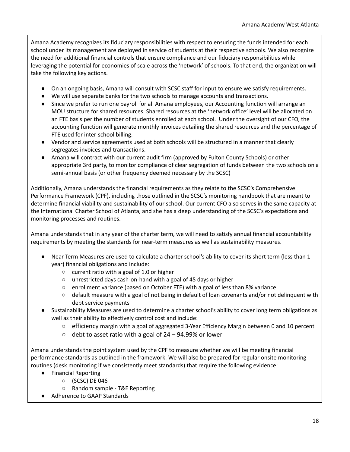Amana Academy recognizes its fiduciary responsibilities with respect to ensuring the funds intended for each school under its management are deployed in service of students at their respective schools. We also recognize the need for additional financial controls that ensure compliance and our fiduciary responsibilities while leveraging the potential for economies of scale across the 'network' of schools. To that end, the organization will take the following key actions.

- On an ongoing basis, Amana will consult with SCSC staff for input to ensure we satisfy requirements.
- We will use separate banks for the two schools to manage accounts and transactions.
- Since we prefer to run one payroll for all Amana employees, our Accounting function will arrange an MOU structure for shared resources. Shared resources at the 'network office' level will be allocated on an FTE basis per the number of students enrolled at each school. Under the oversight of our CFO, the accounting function will generate monthly invoices detailing the shared resources and the percentage of FTE used for inter-school billing.
- Vendor and service agreements used at both schools will be structured in a manner that clearly segregates invoices and transactions.
- Amana will contract with our current audit firm (approved by Fulton County Schools) or other appropriate 3rd party, to monitor compliance of clear segregation of funds between the two schools on a semi-annual basis (or other frequency deemed necessary by the SCSC)

Additionally, Amana understands the financial requirements as they relate to the SCSC's Comprehensive Performance Framework (CPF), including those outlined in the SCSC's monitoring handbook that are meant to determine financial viability and sustainability of our school. Our current CFO also serves in the same capacity at the International Charter School of Atlanta, and she has a deep understanding of the SCSC's expectations and monitoring processes and routines.

Amana understands that in any year of the charter term, we will need to satisfy annual financial accountability requirements by meeting the standards for near-term measures as well as sustainability measures.

- Near Term Measures are used to calculate a charter school's ability to cover its short term (less than 1 year) financial obligations and include:
	- current ratio with a goal of 1.0 or higher
	- unrestricted days cash-on-hand with a goal of 45 days or higher
	- enrollment variance (based on October FTE) with a goal of less than 8% variance
	- default measure with a goal of not being in default of loan covenants and/or not delinquent with debt service payments
- Sustainability Measures are used to determine a charter school's ability to cover long term obligations as well as their ability to effectively control cost and include:
	- efficiency margin with a goal of aggregated 3-Year Efficiency Margin between 0 and 10 percent
	- $\circ$  debt to asset ratio with a goal of 24 94.99% or lower

Amana understands the point system used by the CPF to measure whether we will be meeting financial performance standards as outlined in the framework. We will also be prepared for regular onsite monitoring routines (desk monitoring if we consistently meet standards) that require the following evidence:

- Financial Reporting
	- (SCSC) DE 046
	- Random sample T&E Reporting
- Adherence to GAAP Standards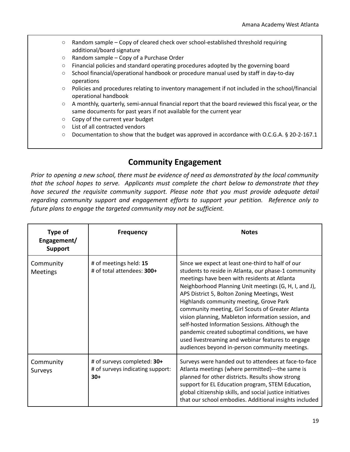- $\circ$  Random sample Copy of cleared check over school-established threshold requiring additional/board signature
- Random sample Copy of a Purchase Order
- Financial policies and standard operating procedures adopted by the governing board
- School financial/operational handbook or procedure manual used by staff in day-to-day operations
- Policies and procedures relating to inventory management if not included in the school/financial operational handbook
- A monthly, quarterly, semi-annual financial report that the board reviewed this fiscal year, or the same documents for past years if not available for the current year
- Copy of the current year budget
- List of all contracted vendors
- Documentation to show that the budget was approved in accordance with O.C.G.A. § 20-2-167.1

### **Community Engagement**

Prior to opening a new school, there must be evidence of need as demonstrated by the local community *that the school hopes to serve. Applicants must complete the chart below to demonstrate that they have secured the requisite community support. Please note that you must provide adequate detail regarding community support and engagement efforts to support your petition. Reference only to future plans to engage the targeted community may not be sufficient.*

| Type of<br>Engagement/<br><b>Support</b> | <b>Frequency</b>                                                         | <b>Notes</b>                                                                                                                                                                                                                                                                                                                                                                                                                                                                                                                                                                                                                         |
|------------------------------------------|--------------------------------------------------------------------------|--------------------------------------------------------------------------------------------------------------------------------------------------------------------------------------------------------------------------------------------------------------------------------------------------------------------------------------------------------------------------------------------------------------------------------------------------------------------------------------------------------------------------------------------------------------------------------------------------------------------------------------|
| Community<br><b>Meetings</b>             | # of meetings held: 15<br># of total attendees: 300+                     | Since we expect at least one-third to half of our<br>students to reside in Atlanta, our phase-1 community<br>meetings have been with residents at Atlanta<br>Neighborhood Planning Unit meetings (G, H, I, and J),<br>APS District 5, Bolton Zoning Meetings, West<br>Highlands community meeting, Grove Park<br>community meeting, Girl Scouts of Greater Atlanta<br>vision planning, Mableton information session, and<br>self-hosted Information Sessions. Although the<br>pandemic created suboptimal conditions, we have<br>used livestreaming and webinar features to engage<br>audiences beyond in-person community meetings. |
| Community<br>Surveys                     | # of surveys completed: 30+<br># of surveys indicating support:<br>$30+$ | Surveys were handed out to attendees at face-to-face<br>Atlanta meetings (where permitted)---the same is<br>planned for other districts. Results show strong<br>support for EL Education program, STEM Education,<br>global citizenship skills, and social justice initiatives<br>that our school embodies. Additional insights included                                                                                                                                                                                                                                                                                             |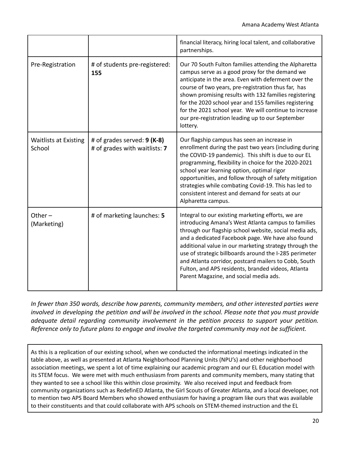|                                        |                                                              | financial literacy, hiring local talent, and collaborative<br>partnerships.                                                                                                                                                                                                                                                                                                                                                                                                                           |  |  |
|----------------------------------------|--------------------------------------------------------------|-------------------------------------------------------------------------------------------------------------------------------------------------------------------------------------------------------------------------------------------------------------------------------------------------------------------------------------------------------------------------------------------------------------------------------------------------------------------------------------------------------|--|--|
| Pre-Registration                       | # of students pre-registered:<br>155                         | Our 70 South Fulton families attending the Alpharetta<br>campus serve as a good proxy for the demand we<br>anticipate in the area. Even with deferment over the<br>course of two years, pre-registration thus far, has<br>shown promising results with 132 families registering<br>for the 2020 school year and 155 families registering<br>for the 2021 school year. We will continue to increase<br>our pre-registration leading up to our September<br>lottery.                                    |  |  |
| <b>Waitlists at Existing</b><br>School | # of grades served: 9 (K-8)<br># of grades with waitlists: 7 | Our flagship campus has seen an increase in<br>enrollment during the past two years (including during<br>the COVID-19 pandemic). This shift is due to our EL<br>programming, flexibility in choice for the 2020-2021<br>school year learning option, optimal rigor<br>opportunities, and follow through of safety mitigation<br>strategies while combating Covid-19. This has led to<br>consistent interest and demand for seats at our<br>Alpharetta campus.                                         |  |  |
| Other $-$<br>(Marketing)               | # of marketing launches: 5                                   | Integral to our existing marketing efforts, we are<br>introducing Amana's West Atlanta campus to families<br>through our flagship school website, social media ads,<br>and a dedicated Facebook page. We have also found<br>additional value in our marketing strategy through the<br>use of strategic billboards around the I-285 perimeter<br>and Atlanta corridor, postcard mailers to Cobb, South<br>Fulton, and APS residents, branded videos, Atlanta<br>Parent Magazine, and social media ads. |  |  |

*In fewer than 350 words, describe how parents, community members, and other interested parties were* involved in developing the petition and will be involved in the school. Please note that you must provide *adequate detail regarding community involvement in the petition process to support your petition. Reference only to future plans to engage and involve the targeted community may not be sufficient.*

As this is a replication of our existing school, when we conducted the informational meetings indicated in the table above, as well as presented at Atlanta Neighborhood Planning Units (NPU's) and other neighborhood association meetings, we spent a lot of time explaining our academic program and our EL Education model with its STEM focus. We were met with much enthusiasm from parents and community members, many stating that they wanted to see a school like this within close proximity. We also received input and feedback from community organizations such as RedefinED Atlanta, the Girl Scouts of Greater Atlanta, and a local developer, not to mention two APS Board Members who showed enthusiasm for having a program like ours that was available to their constituents and that could collaborate with APS schools on STEM-themed instruction and the EL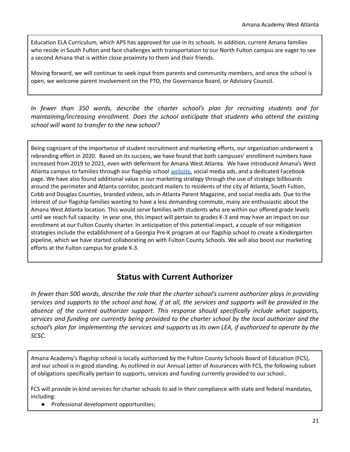Education ELA Curriculum, which APS has approved for use in its schools. In addition, current Amana families who reside in South Fulton and face challenges with transportation to our North Fulton campus are eager to see a second Amana that is within close proximity to them and their friends.

Moving forward, we will continue to seek input from parents and community members, and once the school is open, we welcome parent involvement on the PTO, the Governance Board, or Advisory Council.

*In fewer than 350 words, describe the charter school's plan for recruiting students and for maintaining/increasing enrollment. Does the school anticipate that students who attend the existing school will want to transfer to the new school?*

Being cognizant of the importance of student recruitment and marketing efforts, our organization underwent a rebranding effort in 2020. Based on its success, we have found that both campuses' enrollment numbers have increased from 2019 to 2021, even with deferment for Amana West Atlanta. We have introduced Amana's West Atlanta campus to families through our flagship school [website,](https://amanaacademy.org/) social media ads, and a dedicated Facebook page. We have also found additional value in our marketing strategy through the use of strategic billboards around the perimeter and Atlanta corridor, postcard mailers to residents of the city of Atlanta, South Fulton, Cobb and Douglas Counties, branded videos, ads in Atlanta Parent Magazine, and social media ads. Due to the interest of our flagship families wanting to have a less demanding commute, many are enthusiastic about the Amana West Atlanta location. This would serve families with students who are within our offered grade levels until we reach full capacity. In year one, this impact will pertain to grades K-3 and may have an impact on our enrollment at our Fulton County charter. In anticipation of this potential impact, a couple of our mitigation strategies include the establishment of a Georgia Pre-K program at our flagship school to create a Kindergarten pipeline, which we have started collaborating on with Fulton County Schools. We will also boost our marketing efforts at the Fulton campus for grade K-3.

### **Status with Current Authorizer**

In fewer than 500 words, describe the role that the charter school's current authorizer plays in providing services and supports to the school and how, if at all, the services and supports will be provided in the *absence of the current authorizer support. This response should specifically include what supports, services and funding are currently being provided to the charter school by the local authorizer and the* school's plan for implementing the services and supports as its own LEA, if authorized to operate by the *SCSC.*

Amana Academy's flagship school is locally authorized by the Fulton County Schools Board of Education (FCS), and our school is in good standing. As outlined in our Annual Letter of Assurances with FCS, the following subset of obligations specifically pertain to supports, services and funding currently provided to our school..

FCS will provide in-kind services for charter schools to aid in their compliance with state and federal mandates, including:

● Professional development opportunities;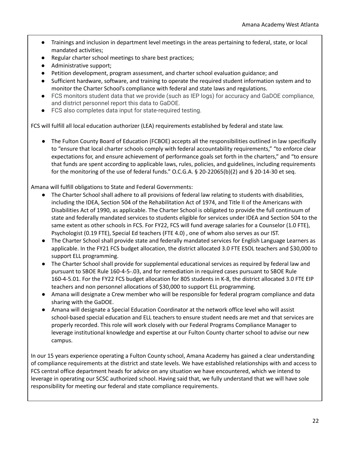- Trainings and inclusion in department level meetings in the areas pertaining to federal, state, or local mandated activities;
- Regular charter school meetings to share best practices;
- Administrative support;
- Petition development, program assessment, and charter school evaluation guidance; and
- Sufficient hardware, software, and training to operate the required student information system and to monitor the Charter School's compliance with federal and state laws and regulations.
- FCS monitors student data that we provide (such as IEP logs) for accuracy and GaDOE compliance, and district personnel report this data to GaDOE.
- FCS also completes data input for state-required testing.

FCS will fulfill all local education authorizer (LEA) requirements established by federal and state law.

● The Fulton County Board of Education (FCBOE) accepts all the responsibilities outlined in law specifically to "ensure that local charter schools comply with federal accountability requirements," "to enforce clear expectations for, and ensure achievement of performance goals set forth in the charters," and "to ensure that funds are spent according to applicable laws, rules, policies, and guidelines, including requirements for the monitoring of the use of federal funds." O.C.G.A. § 20-22065(b)(2) and § 20-14-30 et seq.

Amana will fulfill obligations to State and Federal Governments:

- The Charter School shall adhere to all provisions of federal law relating to students with disabilities, including the IDEA, Section 504 of the Rehabilitation Act of 1974, and Title II of the Americans with Disabilities Act of 1990, as applicable. The Charter School is obligated to provide the full continuum of state and federally mandated services to students eligible for services under IDEA and Section 504 to the same extent as other schools in FCS. For FY22, FCS will fund average salaries for a Counselor (1.0 FTE), Psychologist (0.19 FTE), Special Ed teachers (FTE 4.0) , one of whom also serves as our IST.
- The Charter School shall provide state and federally mandated services for English Language Learners as applicable. In the FY21 FCS budget allocation, the district allocated 3.0 FTE ESOL teachers and \$30,000 to support ELL programming.
- The Charter School shall provide for supplemental educational services as required by federal law and pursuant to SBOE Rule 160-4-5-.03, and for remediation in required cases pursuant to SBOE Rule 160-4-5.01. For the FY22 FCS budget allocation for 805 students in K-8, the district allocated 3.0 FTE EIP teachers and non personnel allocations of \$30,000 to support ELL programming.
- Amana will designate a Crew member who will be responsible for federal program compliance and data sharing with the GaDOE.
- Amana will designate a Special Education Coordinator at the network office level who will assist school-based special education and ELL teachers to ensure student needs are met and that services are properly recorded. This role will work closely with our Federal Programs Compliance Manager to leverage institutional knowledge and expertise at our Fulton County charter school to advise our new campus.

In our 15 years experience operating a Fulton County school, Amana Academy has gained a clear understanding of compliance requirements at the district and state levels. We have established relationships with and access to FCS central office department heads for advice on any situation we have encountered, which we intend to leverage in operating our SCSC authorized school. Having said that, we fully understand that we will have sole responsibility for meeting our federal and state compliance requirements.